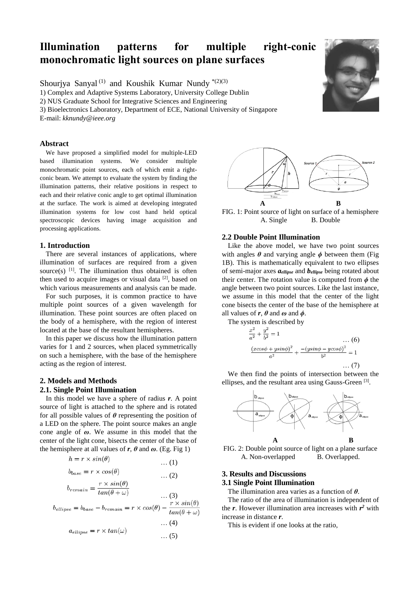# **Illumination patterns for multiple right-conic monochromatic light sources on plane surfaces**

Shourjya Sanyal<sup>(1)</sup> and Koushik Kumar Nundy  $*(2)(3)$ 

1) Complex and Adaptive Systems Laboratory, University College Dublin

2) NUS Graduate School for Integrative Sciences and Engineering

3) Bioelectronics Laboratory, Department of ECE, National University of Singapore

E-mail: *kknundy@ieee.org*

### **Abstract**

We have proposed a simplified model for multiple-LED based illumination systems. We consider multiple monochromatic point sources, each of which emit a rightconic beam. We attempt to evaluate the system by finding the illumination patterns, their relative positions in respect to each and their relative conic angle to get optimal illumination at the surface. The work is aimed at developing integrated illumination systems for low cost hand held optical spectroscopic devices having image acquisition and processing applications.

#### **1. Introduction**

There are several instances of applications, where illumination of surfaces are required from a given source(s)  $[1]$ . The illumination thus obtained is often then used to acquire images or visual data  $[2]$ , based on which various measurements and analysis can be made.

For such purposes, it is common practice to have multiple point sources of a given wavelength for illumination. These point sources are often placed on the body of a hemisphere, with the region of interest located at the base of the resultant hemispheres.

In this paper we discuss how the illumination pattern varies for 1 and 2 sources, when placed symmetrically on such a hemisphere, with the base of the hemisphere acting as the region of interest.

# **2. Models and Methods**

# **2.1. Single Point Illumination**

In this model we have a sphere of radius *r*. A point source of light is attached to the sphere and is rotated for all possible values of *θ* representing the position of a LED on the sphere. The point source makes an angle cone angle of *ω*. We assume in this model that the center of the light cone, bisects the center of the base of the hemisphere at all values of  $r$ ,  $\theta$  and  $\omega$ . (Eg. Fig 1)

$$
h = r \times \sin(\theta) \tag{1}
$$

$$
b_{base} = r \times cos(\theta) \qquad \dots (2)
$$
  

$$
r \times sin(\theta) \qquad \dots (2)
$$

$$
b_{remain} = \frac{1}{tan(\theta + \omega)} \qquad \qquad \dots (3)
$$

… (4)

$$
a_{ellipse} = r \times tan(\omega)
$$
 ... (5)



FIG. 1: Point source of light on surface of a hemisphere A. Single B. Double

### **2.2 Double Point Illumination**

Like the above model, we have two point sources with angles  $\theta$  and varying angle  $\phi$  between them (Fig. 1B). This is mathematically equivalent to two ellipses of semi-major axes *aellipse* and *bellipse* being rotated about their center. The rotation value is computed from  $\phi$  the angle between two point sources. Like the last instance, we assume in this model that the center of the light cone bisects the center of the base of the hemisphere at all values of  $r$ ,  $\theta$  and  $\omega$  and  $\phi$ .

The system is described by

$$
\frac{x^2}{a^2} + \frac{y^2}{b^2} = 1
$$
\n...\n
$$
\frac{(xcos\phi + ysin\phi)^2}{a^2} + \frac{-(ysin\phi - ycos\phi)^2}{b^2} = 1
$$
\n...\n(7)

We then find the points of intersection between the ellipses, and the resultant area using Gauss-Green [3].



FIG. 2: Double point source of light on a plane surface A. Non-overlapped B. Overlapped.

## **3. Results and Discussions 3.1 Single Point Illumination**

The illumination area varies as a function of *θ*.

The ratio of the area of illumination is independent of the  $r$ . However illumination area increases with  $r^2$  with increase in distance *r*.

This is evident if one looks at the ratio,